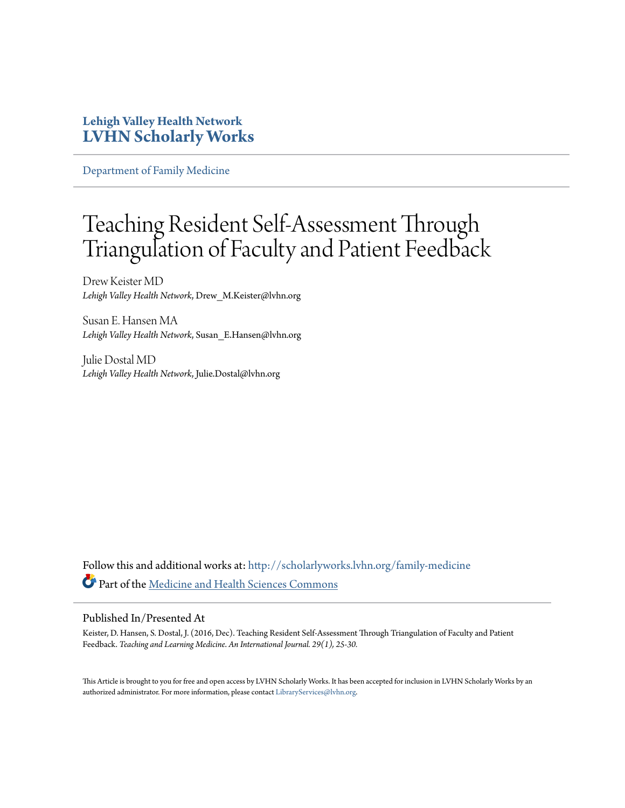### **Lehigh Valley Health Network [LVHN Scholarly Works](http://scholarlyworks.lvhn.org?utm_source=scholarlyworks.lvhn.org%2Ffamily-medicine%2F351&utm_medium=PDF&utm_campaign=PDFCoverPages)**

[Department of Family Medicine](http://scholarlyworks.lvhn.org/family-medicine?utm_source=scholarlyworks.lvhn.org%2Ffamily-medicine%2F351&utm_medium=PDF&utm_campaign=PDFCoverPages)

# Teaching Resident Self-Assessment Through Triangulation of Faculty and Patient Feedback

Drew Keister MD *Lehigh Valley Health Network*, Drew\_M.Keister@lvhn.org

Susan E. Hansen MA *Lehigh Valley Health Network*, Susan\_E.Hansen@lvhn.org

Julie Dostal MD *Lehigh Valley Health Network*, Julie.Dostal@lvhn.org

Follow this and additional works at: [http://scholarlyworks.lvhn.org/family-medicine](http://scholarlyworks.lvhn.org/family-medicine?utm_source=scholarlyworks.lvhn.org%2Ffamily-medicine%2F351&utm_medium=PDF&utm_campaign=PDFCoverPages) Part of the [Medicine and Health Sciences Commons](http://network.bepress.com/hgg/discipline/648?utm_source=scholarlyworks.lvhn.org%2Ffamily-medicine%2F351&utm_medium=PDF&utm_campaign=PDFCoverPages)

#### Published In/Presented At

Keister, D. Hansen, S. Dostal, J. (2016, Dec). Teaching Resident Self-Assessment Through Triangulation of Faculty and Patient Feedback. *Teaching and Learning Medicine*. *An International Journal. 29(1), 25-30.*

This Article is brought to you for free and open access by LVHN Scholarly Works. It has been accepted for inclusion in LVHN Scholarly Works by an authorized administrator. For more information, please contact [LibraryServices@lvhn.org.](mailto:LibraryServices@lvhn.org)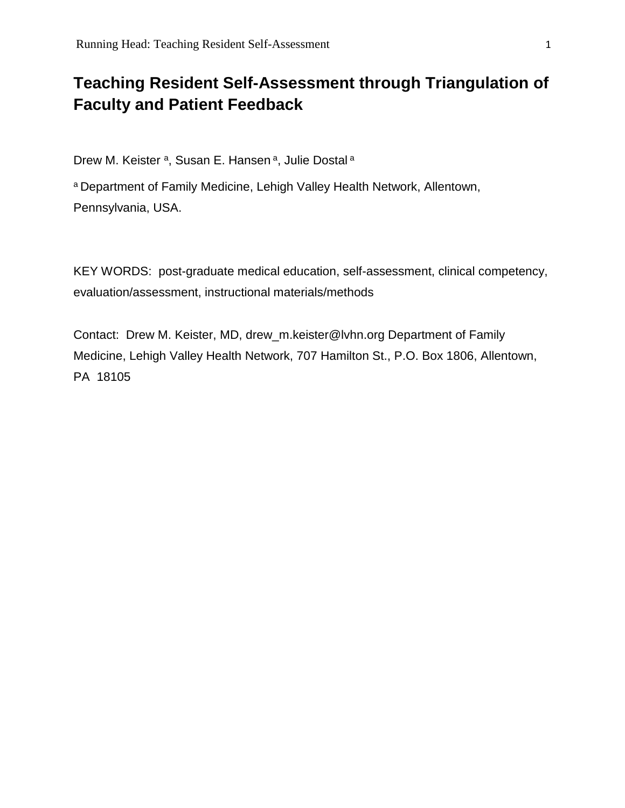## **Teaching Resident Self-Assessment through Triangulation of Faculty and Patient Feedback**

Drew M. Keister <sup>a</sup>, Susan E. Hansen <sup>a</sup>, Julie Dostal <sup>a</sup>

a Department of Family Medicine, Lehigh Valley Health Network, Allentown, Pennsylvania, USA.

KEY WORDS: post-graduate medical education, self-assessment, clinical competency, evaluation/assessment, instructional materials/methods

Contact: Drew M. Keister, MD, drew\_m.keister@lvhn.org Department of Family Medicine, Lehigh Valley Health Network, 707 Hamilton St., P.O. Box 1806, Allentown, PA 18105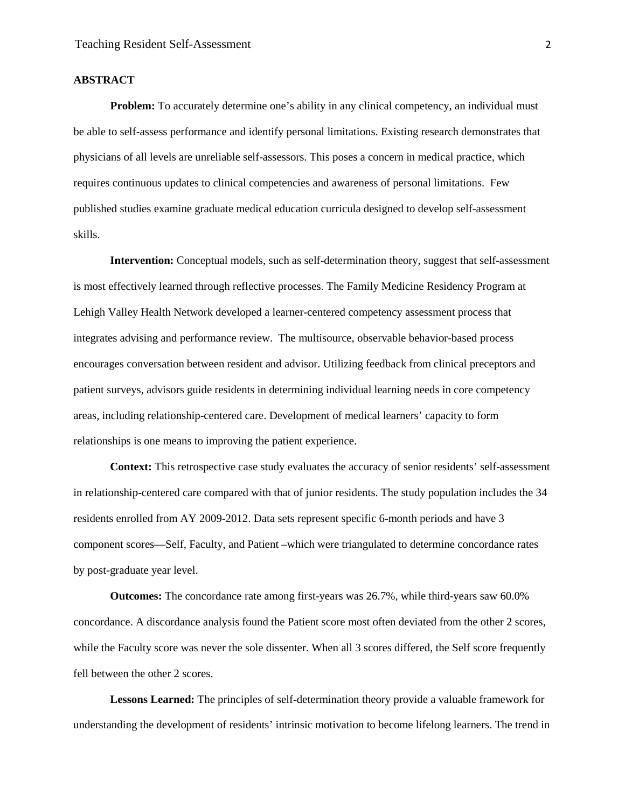#### **ABSTRACT**

**Problem:** To accurately determine one's ability in any clinical competency, an individual must be able to self-assess performance and identify personal limitations. Existing research demonstrates that physicians of all levels are unreliable self-assessors. This poses a concern in medical practice, which requires continuous updates to clinical competencies and awareness of personal limitations. Few published studies examine graduate medical education curricula designed to develop self-assessment skills.

**Intervention:** Conceptual models, such as self-determination theory, suggest that self-assessment is most effectively learned through reflective processes. The Family Medicine Residency Program at Lehigh Valley Health Network developed a learner-centered competency assessment process that integrates advising and performance review. The multisource, observable behavior-based process encourages conversation between resident and advisor. Utilizing feedback from clinical preceptors and patient surveys, advisors guide residents in determining individual learning needs in core competency areas, including relationship-centered care. Development of medical learners' capacity to form relationships is one means to improving the patient experience.

**Context:** This retrospective case study evaluates the accuracy of senior residents' self-assessment in relationship-centered care compared with that of junior residents. The study population includes the 34 residents enrolled from AY 2009-2012. Data sets represent specific 6-month periods and have 3 component scores—Self, Faculty, and Patient –which were triangulated to determine concordance rates by post-graduate year level.

**Outcomes:** The concordance rate among first-years was 26.7%, while third-years saw 60.0% concordance. A discordance analysis found the Patient score most often deviated from the other 2 scores, while the Faculty score was never the sole dissenter. When all 3 scores differed, the Self score frequently fell between the other 2 scores.

**Lessons Learned:** The principles of self-determination theory provide a valuable framework for understanding the development of residents' intrinsic motivation to become lifelong learners. The trend in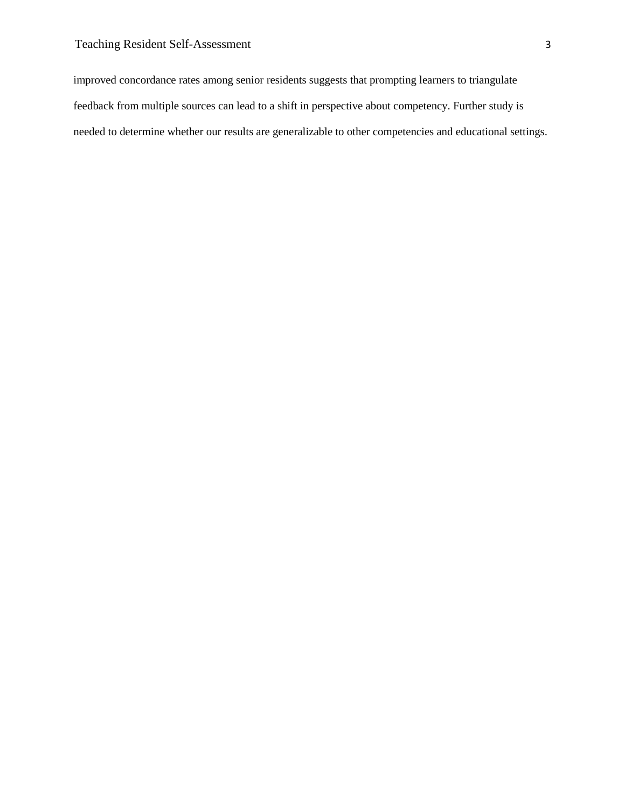improved concordance rates among senior residents suggests that prompting learners to triangulate feedback from multiple sources can lead to a shift in perspective about competency. Further study is needed to determine whether our results are generalizable to other competencies and educational settings.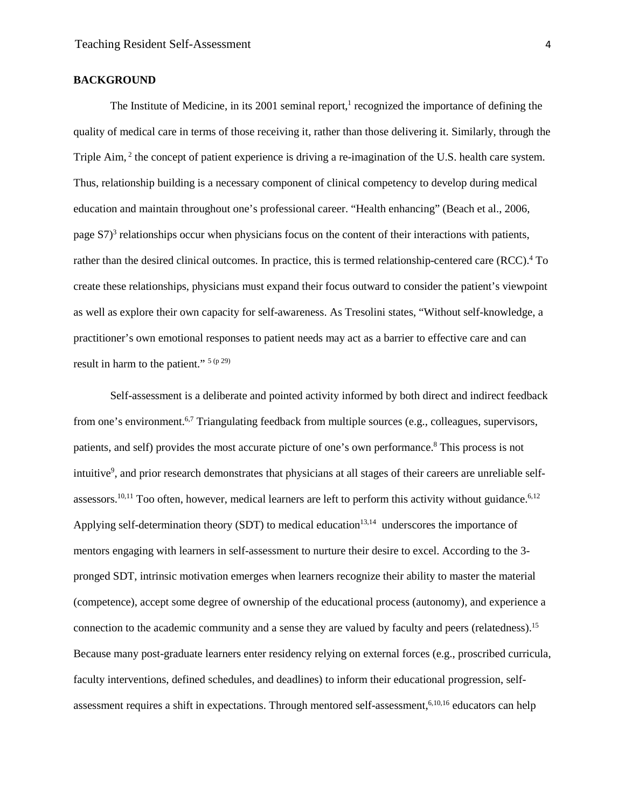#### **BACKGROUND**

The Institute of Medicine, in its 2001 seminal report, $\frac{1}{1}$  recognized the importance of defining the quality of medical care in terms of those receiving it, rather than those delivering it. Similarly, through the Triple Aim, <sup>2</sup> the concept of patient experience is driving a re-imagination of the U.S. health care system. Thus, relationship building is a necessary component of clinical competency to develop during medical education and maintain throughout one's professional career. "Health enhancing" (Beach et al., 2006, page  $S7<sup>3</sup>$  relationships occur when physicians focus on the content of their interactions with patients, rather than the desired clinical outcomes. In practice, this is termed relationship-centered care (RCC).<sup>4</sup> To create these relationships, physicians must expand their focus outward to consider the patient's viewpoint as well as explore their own capacity for self-awareness. As Tresolini states, "Without self-knowledge, a practitioner's own emotional responses to patient needs may act as a barrier to effective care and can result in harm to the patient."  $5(p 29)$ 

Self-assessment is a deliberate and pointed activity informed by both direct and indirect feedback from one's environment.<sup>6,7</sup> Triangulating feedback from multiple sources (e.g., colleagues, supervisors, patients, and self) provides the most accurate picture of one's own performance.<sup>8</sup> This process is not intuitive<sup>9</sup>, and prior research demonstrates that physicians at all stages of their careers are unreliable selfassessors.<sup>10,11</sup> Too often, however, medical learners are left to perform this activity without guidance.<sup>6,12</sup> Applying self-determination theory (SDT) to medical education<sup>13,14</sup> underscores the importance of mentors engaging with learners in self-assessment to nurture their desire to excel. According to the 3 pronged SDT, intrinsic motivation emerges when learners recognize their ability to master the material (competence), accept some degree of ownership of the educational process (autonomy), and experience a connection to the academic community and a sense they are valued by faculty and peers (relatedness). 15 Because many post-graduate learners enter residency relying on external forces (e.g., proscribed curricula, faculty interventions, defined schedules, and deadlines) to inform their educational progression, selfassessment requires a shift in expectations. Through mentored self-assessment,<sup>6,10,16</sup> educators can help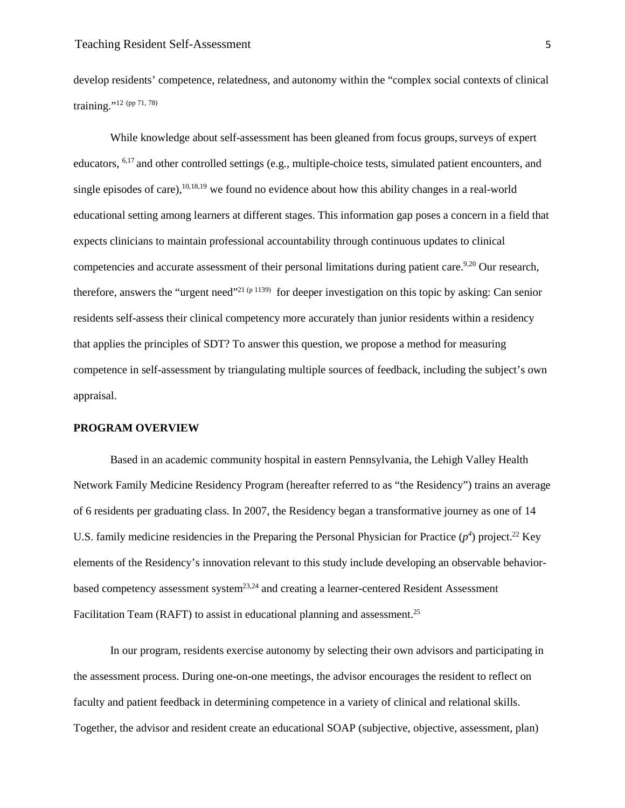develop residents' competence, relatedness, and autonomy within the "complex social contexts of clinical training."<sup>12</sup> (pp 71, 78)

While knowledge about self-assessment has been gleaned from focus groups, surveys of expert educators, 6,17 and other controlled settings (e.g., multiple-choice tests, simulated patient encounters, and single episodes of care), $10,18,19$  we found no evidence about how this ability changes in a real-world educational setting among learners at different stages. This information gap poses a concern in a field that expects clinicians to maintain professional accountability through continuous updates to clinical competencies and accurate assessment of their personal limitations during patient care.<sup>9,20</sup> Our research, therefore, answers the "urgent need"<sup>21 (p 1139)</sup> for deeper investigation on this topic by asking: Can senior residents self-assess their clinical competency more accurately than junior residents within a residency that applies the principles of SDT? To answer this question, we propose a method for measuring competence in self-assessment by triangulating multiple sources of feedback, including the subject's own appraisal.

#### **PROGRAM OVERVIEW**

Based in an academic community hospital in eastern Pennsylvania, the Lehigh Valley Health Network Family Medicine Residency Program (hereafter referred to as "the Residency") trains an average of 6 residents per graduating class. In 2007, the Residency began a transformative journey as one of 14 U.S. family medicine residencies in the Preparing the Personal Physician for Practice  $(p^4)$  project.<sup>22</sup> Key elements of the Residency's innovation relevant to this study include developing an observable behaviorbased competency assessment system<sup>23,24</sup> and creating a learner-centered Resident Assessment Facilitation Team (RAFT) to assist in educational planning and assessment.<sup>25</sup>

In our program, residents exercise autonomy by selecting their own advisors and participating in the assessment process. During one-on-one meetings, the advisor encourages the resident to reflect on faculty and patient feedback in determining competence in a variety of clinical and relational skills. Together, the advisor and resident create an educational SOAP (subjective, objective, assessment, plan)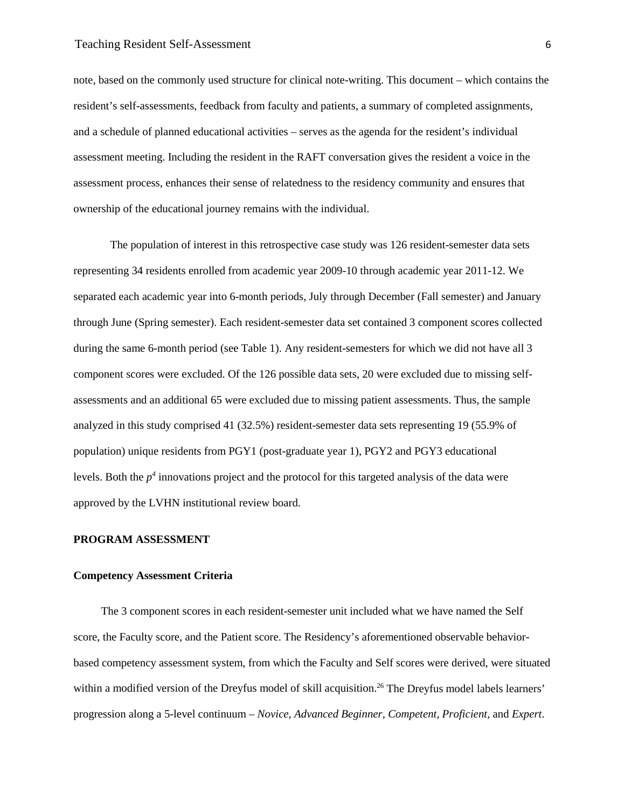note, based on the commonly used structure for clinical note-writing. This document – which contains the resident's self-assessments, feedback from faculty and patients, a summary of completed assignments, and a schedule of planned educational activities – serves as the agenda for the resident's individual assessment meeting. Including the resident in the RAFT conversation gives the resident a voice in the assessment process, enhances their sense of relatedness to the residency community and ensures that ownership of the educational journey remains with the individual.

The population of interest in this retrospective case study was 126 resident-semester data sets representing 34 residents enrolled from academic year 2009-10 through academic year 2011-12. We separated each academic year into 6-month periods, July through December (Fall semester) and January through June (Spring semester). Each resident-semester data set contained 3 component scores collected during the same 6-month period (see Table 1). Any resident-semesters for which we did not have all 3 component scores were excluded. Of the 126 possible data sets, 20 were excluded due to missing selfassessments and an additional 65 were excluded due to missing patient assessments. Thus, the sample analyzed in this study comprised 41 (32.5%) resident-semester data sets representing 19 (55.9% of population) unique residents from PGY1 (post-graduate year 1), PGY2 and PGY3 educational levels. Both the  $p<sup>4</sup>$  innovations project and the protocol for this targeted analysis of the data were approved by the LVHN institutional review board.

#### **PROGRAM ASSESSMENT**

#### **Competency Assessment Criteria**

The 3 component scores in each resident-semester unit included what we have named the Self score, the Faculty score, and the Patient score. The Residency's aforementioned observable behaviorbased competency assessment system, from which the Faculty and Self scores were derived, were situated within a modified version of the Dreyfus model of skill acquisition.<sup>26</sup> The Dreyfus model labels learners' progression along a 5-level continuum – *Novice, Advanced Beginner, Competent, Proficient,* and *Expert*.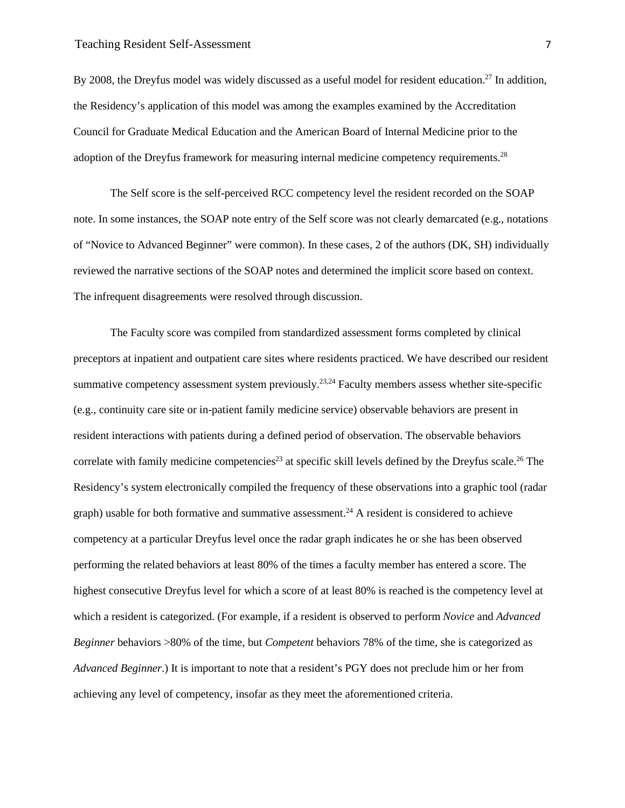#### Teaching Resident Self-Assessment 7

By 2008, the Dreyfus model was widely discussed as a useful model for resident education.<sup>27</sup> In addition, the Residency's application of this model was among the examples examined by the Accreditation Council for Graduate Medical Education and the American Board of Internal Medicine prior to the adoption of the Dreyfus framework for measuring internal medicine competency requirements.28

The Self score is the self-perceived RCC competency level the resident recorded on the SOAP note. In some instances, the SOAP note entry of the Self score was not clearly demarcated (e.g., notations of "Novice to Advanced Beginner" were common). In these cases, 2 of the authors (DK, SH) individually reviewed the narrative sections of the SOAP notes and determined the implicit score based on context. The infrequent disagreements were resolved through discussion.

The Faculty score was compiled from standardized assessment forms completed by clinical preceptors at inpatient and outpatient care sites where residents practiced. We have described our resident summative competency assessment system previously.<sup>23,24</sup> Faculty members assess whether site-specific (e.g., continuity care site or in-patient family medicine service) observable behaviors are present in resident interactions with patients during a defined period of observation. The observable behaviors correlate with family medicine competencies<sup>23</sup> at specific skill levels defined by the Dreyfus scale.<sup>26</sup> The Residency's system electronically compiled the frequency of these observations into a graphic tool (radar graph) usable for both formative and summative assessment.<sup>24</sup> A resident is considered to achieve competency at a particular Dreyfus level once the radar graph indicates he or she has been observed performing the related behaviors at least 80% of the times a faculty member has entered a score. The highest consecutive Dreyfus level for which a score of at least 80% is reached is the competency level at which a resident is categorized. (For example, if a resident is observed to perform *Novice* and *Advanced Beginner* behaviors >80% of the time, but *Competent* behaviors 78% of the time, she is categorized as *Advanced Beginner*.) It is important to note that a resident's PGY does not preclude him or her from achieving any level of competency, insofar as they meet the aforementioned criteria.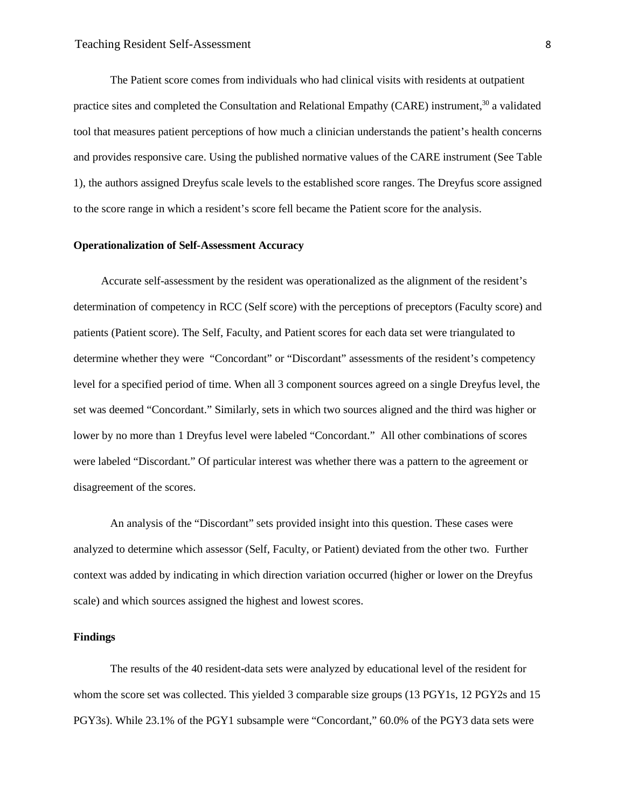The Patient score comes from individuals who had clinical visits with residents at outpatient practice sites and completed the Consultation and Relational Empathy (CARE) instrument,<sup>30</sup> a validated tool that measures patient perceptions of how much a clinician understands the patient's health concerns and provides responsive care. Using the published normative values of the CARE instrument (See Table 1), the authors assigned Dreyfus scale levels to the established score ranges. The Dreyfus score assigned to the score range in which a resident's score fell became the Patient score for the analysis.

#### **Operationalization of Self-Assessment Accuracy**

Accurate self-assessment by the resident was operationalized as the alignment of the resident's determination of competency in RCC (Self score) with the perceptions of preceptors (Faculty score) and patients (Patient score). The Self, Faculty, and Patient scores for each data set were triangulated to determine whether they were "Concordant" or "Discordant" assessments of the resident's competency level for a specified period of time. When all 3 component sources agreed on a single Dreyfus level, the set was deemed "Concordant." Similarly, sets in which two sources aligned and the third was higher or lower by no more than 1 Dreyfus level were labeled "Concordant." All other combinations of scores were labeled "Discordant." Of particular interest was whether there was a pattern to the agreement or disagreement of the scores.

An analysis of the "Discordant" sets provided insight into this question. These cases were analyzed to determine which assessor (Self, Faculty, or Patient) deviated from the other two. Further context was added by indicating in which direction variation occurred (higher or lower on the Dreyfus scale) and which sources assigned the highest and lowest scores.

#### **Findings**

The results of the 40 resident-data sets were analyzed by educational level of the resident for whom the score set was collected. This yielded 3 comparable size groups (13 PGY1s, 12 PGY2s and 15 PGY3s). While 23.1% of the PGY1 subsample were "Concordant," 60.0% of the PGY3 data sets were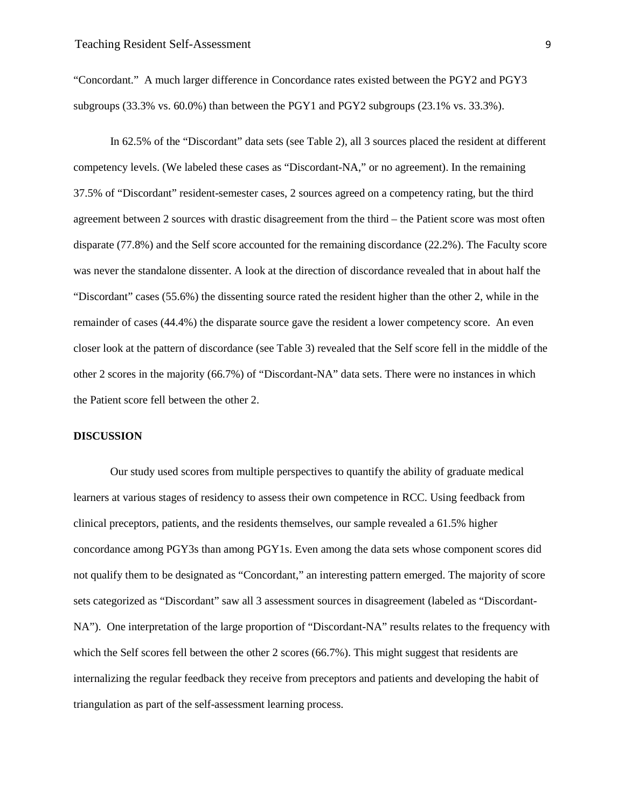"Concordant." A much larger difference in Concordance rates existed between the PGY2 and PGY3 subgroups (33.3% vs. 60.0%) than between the PGY1 and PGY2 subgroups (23.1% vs. 33.3%).

In 62.5% of the "Discordant" data sets (see Table 2), all 3 sources placed the resident at different competency levels. (We labeled these cases as "Discordant-NA," or no agreement). In the remaining 37.5% of "Discordant" resident-semester cases, 2 sources agreed on a competency rating, but the third agreement between 2 sources with drastic disagreement from the third – the Patient score was most often disparate (77.8%) and the Self score accounted for the remaining discordance (22.2%). The Faculty score was never the standalone dissenter. A look at the direction of discordance revealed that in about half the "Discordant" cases (55.6%) the dissenting source rated the resident higher than the other 2, while in the remainder of cases (44.4%) the disparate source gave the resident a lower competency score. An even closer look at the pattern of discordance (see Table 3) revealed that the Self score fell in the middle of the other 2 scores in the majority (66.7%) of "Discordant-NA" data sets. There were no instances in which the Patient score fell between the other 2.

#### **DISCUSSION**

Our study used scores from multiple perspectives to quantify the ability of graduate medical learners at various stages of residency to assess their own competence in RCC. Using feedback from clinical preceptors, patients, and the residents themselves, our sample revealed a 61.5% higher concordance among PGY3s than among PGY1s. Even among the data sets whose component scores did not qualify them to be designated as "Concordant," an interesting pattern emerged. The majority of score sets categorized as "Discordant" saw all 3 assessment sources in disagreement (labeled as "Discordant-NA"). One interpretation of the large proportion of "Discordant-NA" results relates to the frequency with which the Self scores fell between the other 2 scores (66.7%). This might suggest that residents are internalizing the regular feedback they receive from preceptors and patients and developing the habit of triangulation as part of the self-assessment learning process.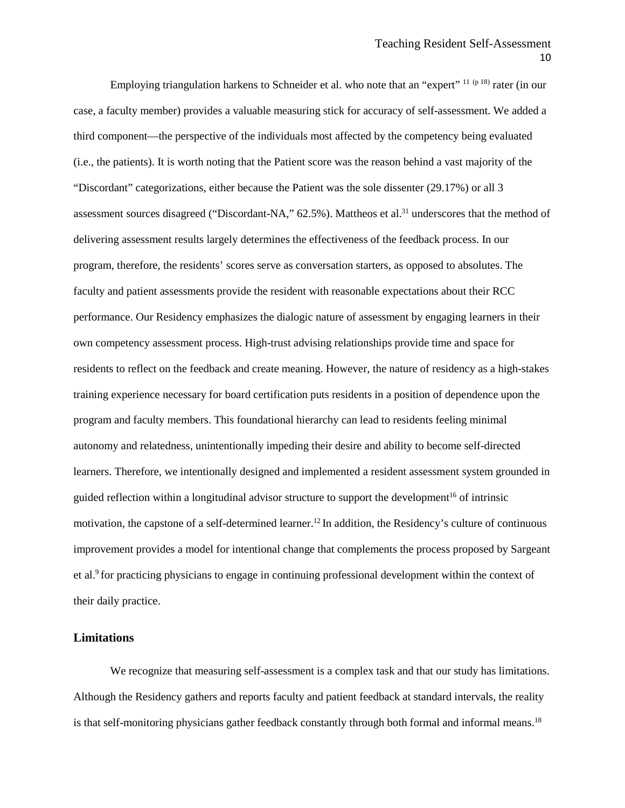Employing triangulation harkens to Schneider et al. who note that an "expert"  $11 (p 18)$  rater (in our case, a faculty member) provides a valuable measuring stick for accuracy of self-assessment. We added a third component—the perspective of the individuals most affected by the competency being evaluated (i.e., the patients). It is worth noting that the Patient score was the reason behind a vast majority of the "Discordant" categorizations, either because the Patient was the sole dissenter (29.17%) or all 3 assessment sources disagreed ("Discordant-NA," 62.5%). Mattheos et al.<sup>31</sup> underscores that the method of delivering assessment results largely determines the effectiveness of the feedback process. In our program, therefore, the residents' scores serve as conversation starters, as opposed to absolutes. The faculty and patient assessments provide the resident with reasonable expectations about their RCC performance. Our Residency emphasizes the dialogic nature of assessment by engaging learners in their own competency assessment process. High-trust advising relationships provide time and space for residents to reflect on the feedback and create meaning. However, the nature of residency as a high-stakes training experience necessary for board certification puts residents in a position of dependence upon the program and faculty members. This foundational hierarchy can lead to residents feeling minimal autonomy and relatedness, unintentionally impeding their desire and ability to become self-directed learners. Therefore, we intentionally designed and implemented a resident assessment system grounded in guided reflection within a longitudinal advisor structure to support the development<sup>16</sup> of intrinsic motivation, the capstone of a self-determined learner.<sup>12</sup> In addition, the Residency's culture of continuous improvement provides a model for intentional change that complements the process proposed by Sargeant et al.<sup>9</sup> for practicing physicians to engage in continuing professional development within the context of their daily practice.

#### **Limitations**

We recognize that measuring self-assessment is a complex task and that our study has limitations. Although the Residency gathers and reports faculty and patient feedback at standard intervals, the reality is that self-monitoring physicians gather feedback constantly through both formal and informal means.<sup>18</sup>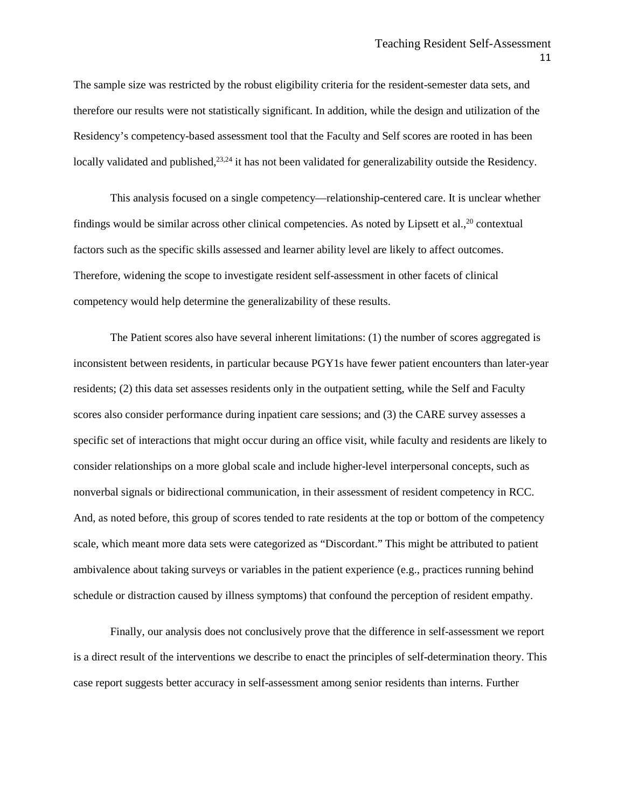The sample size was restricted by the robust eligibility criteria for the resident-semester data sets, and therefore our results were not statistically significant. In addition, while the design and utilization of the Residency's competency-based assessment tool that the Faculty and Self scores are rooted in has been locally validated and published,<sup>23,24</sup> it has not been validated for generalizability outside the Residency.

This analysis focused on a single competency—relationship-centered care. It is unclear whether findings would be similar across other clinical competencies. As noted by Lipsett et al.,<sup>20</sup> contextual factors such as the specific skills assessed and learner ability level are likely to affect outcomes. Therefore, widening the scope to investigate resident self-assessment in other facets of clinical competency would help determine the generalizability of these results.

The Patient scores also have several inherent limitations: (1) the number of scores aggregated is inconsistent between residents, in particular because PGY1s have fewer patient encounters than later-year residents; (2) this data set assesses residents only in the outpatient setting, while the Self and Faculty scores also consider performance during inpatient care sessions; and (3) the CARE survey assesses a specific set of interactions that might occur during an office visit, while faculty and residents are likely to consider relationships on a more global scale and include higher-level interpersonal concepts, such as nonverbal signals or bidirectional communication, in their assessment of resident competency in RCC. And, as noted before, this group of scores tended to rate residents at the top or bottom of the competency scale, which meant more data sets were categorized as "Discordant." This might be attributed to patient ambivalence about taking surveys or variables in the patient experience (e.g., practices running behind schedule or distraction caused by illness symptoms) that confound the perception of resident empathy.

Finally, our analysis does not conclusively prove that the difference in self-assessment we report is a direct result of the interventions we describe to enact the principles of self-determination theory. This case report suggests better accuracy in self-assessment among senior residents than interns. Further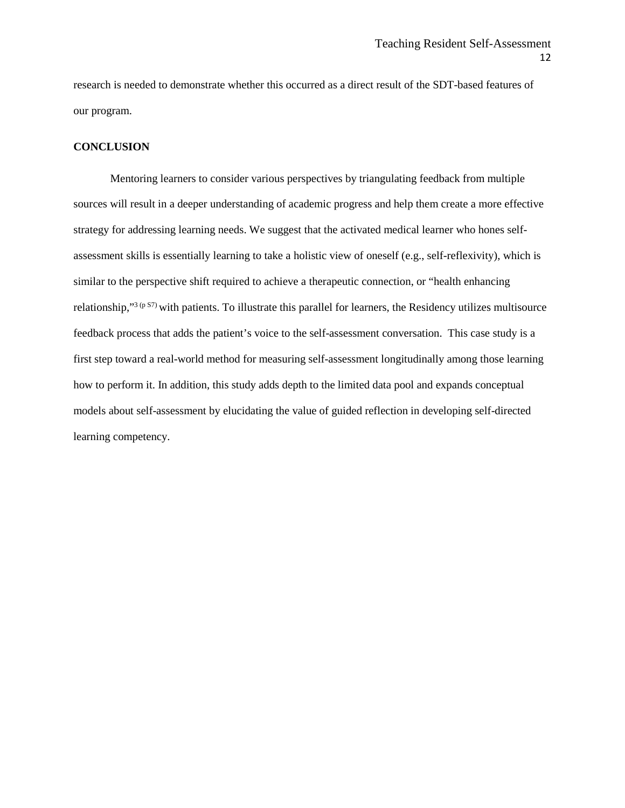research is needed to demonstrate whether this occurred as a direct result of the SDT-based features of our program.

#### **CONCLUSION**

Mentoring learners to consider various perspectives by triangulating feedback from multiple sources will result in a deeper understanding of academic progress and help them create a more effective strategy for addressing learning needs. We suggest that the activated medical learner who hones selfassessment skills is essentially learning to take a holistic view of oneself (e.g., self-reflexivity), which is similar to the perspective shift required to achieve a therapeutic connection, or "health enhancing relationship,"3 (p S7) with patients. To illustrate this parallel for learners, the Residency utilizes multisource feedback process that adds the patient's voice to the self-assessment conversation. This case study is a first step toward a real-world method for measuring self-assessment longitudinally among those learning how to perform it. In addition, this study adds depth to the limited data pool and expands conceptual models about self-assessment by elucidating the value of guided reflection in developing self-directed learning competency.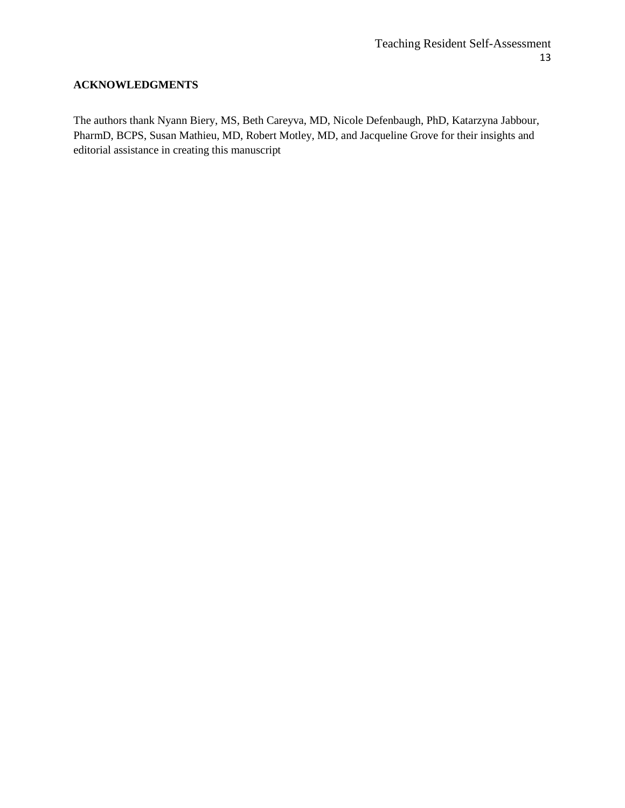#### **ACKNOWLEDGMENTS**

The authors thank Nyann Biery, MS, Beth Careyva, MD, Nicole Defenbaugh, PhD, Katarzyna Jabbour, PharmD, BCPS, Susan Mathieu, MD, Robert Motley, MD, and Jacqueline Grove for their insights and editorial assistance in creating this manuscript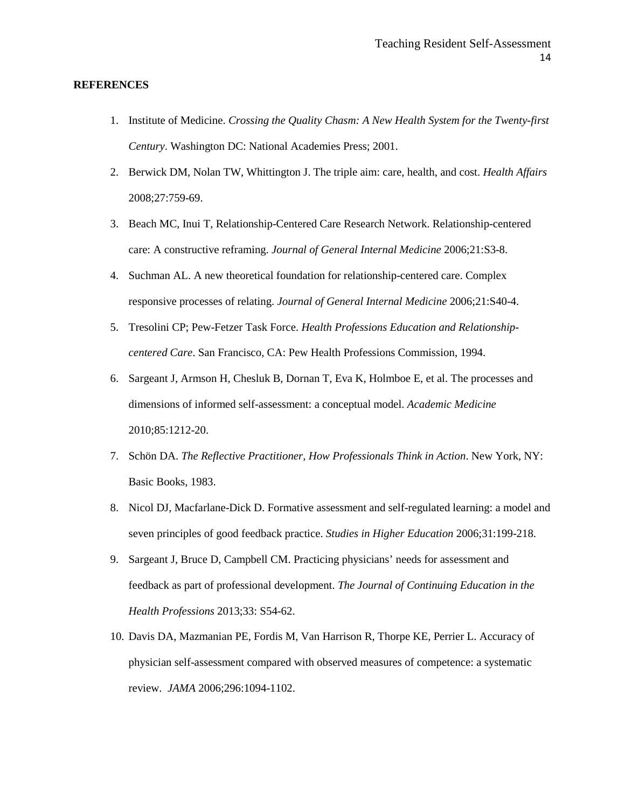#### **REFERENCES**

- 1. Institute of Medicine. *Crossing the Quality Chasm: A New Health System for the Twenty-first Century*. Washington DC: National Academies Press; 2001.
- 2. Berwick DM, Nolan TW, Whittington J. The triple aim: care, health, and cost. *Health Affairs*  2008;27:759-69.
- 3. Beach MC, Inui T, Relationship-Centered Care Research Network. Relationship-centered care: A constructive reframing. *Journal of General Internal Medicine* 2006;21:S3-8.
- 4. Suchman AL. A new theoretical foundation for relationship-centered care. Complex responsive processes of relating. *Journal of General Internal Medicine* 2006;21:S40-4.
- 5. Tresolini CP; Pew-Fetzer Task Force. *Health Professions Education and Relationshipcentered Care*. San Francisco, CA: Pew Health Professions Commission, 1994.
- 6. Sargeant J, Armson H, Chesluk B, Dornan T, Eva K, Holmboe E, et al. The processes and dimensions of informed self-assessment: a conceptual model. *Academic Medicine*  2010;85:1212-20.
- 7. Schön DA. *The Reflective Practitioner, How Professionals Think in Action*. New York, NY: Basic Books, 1983.
- 8. Nicol DJ, Macfarlane-Dick D. Formative assessment and self-regulated learning: a model and seven principles of good feedback practice. *Studies in Higher Education* 2006;31:199-218.
- 9. Sargeant J, Bruce D, Campbell CM. Practicing physicians' needs for assessment and feedback as part of professional development. *The Journal of Continuing Education in the Health Professions* 2013;33: S54-62.
- 10. Davis DA, Mazmanian PE, Fordis M, Van Harrison R, Thorpe KE, Perrier L. Accuracy of physician self-assessment compared with observed measures of competence: a systematic review. *JAMA* 2006;296:1094-1102.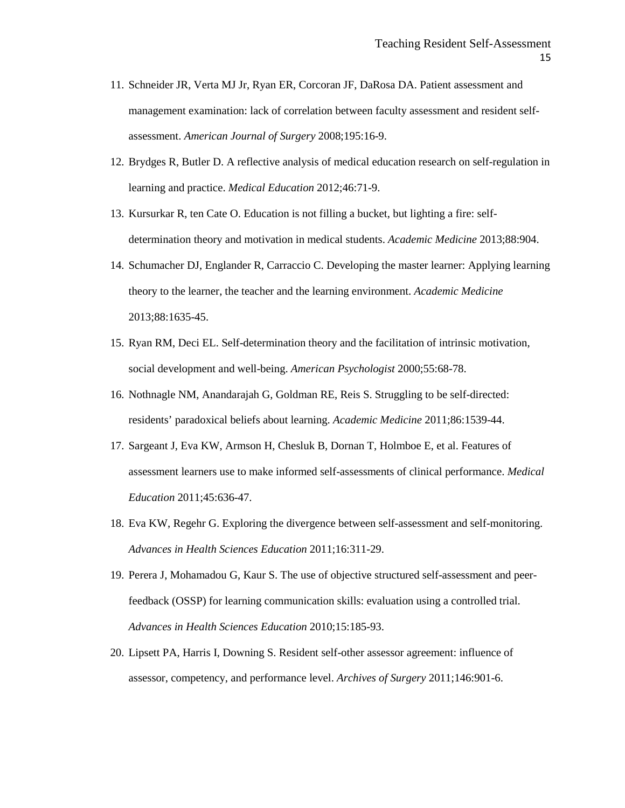- 11. Schneider JR, Verta MJ Jr, Ryan ER, Corcoran JF, DaRosa DA. Patient assessment and management examination: lack of correlation between faculty assessment and resident selfassessment. *American Journal of Surgery* 2008;195:16-9.
- 12. Brydges R, Butler D. A reflective analysis of medical education research on self-regulation in learning and practice. *Medical Education* 2012;46:71-9.
- 13. Kursurkar R, ten Cate O. Education is not filling a bucket, but lighting a fire: selfdetermination theory and motivation in medical students. *Academic Medicine* 2013;88:904.
- 14. Schumacher DJ, Englander R, Carraccio C. Developing the master learner: Applying learning theory to the learner, the teacher and the learning environment. *Academic Medicine* 2013;88:1635-45.
- 15. Ryan RM, Deci EL. Self-determination theory and the facilitation of intrinsic motivation, social development and well-being. *American Psychologist* 2000;55:68-78.
- 16. Nothnagle NM, Anandarajah G, Goldman RE, Reis S. Struggling to be self-directed: residents' paradoxical beliefs about learning. *Academic Medicine* 2011;86:1539-44.
- 17. Sargeant J, Eva KW, Armson H, Chesluk B, Dornan T, Holmboe E, et al. Features of assessment learners use to make informed self-assessments of clinical performance. *Medical Education* 2011;45:636-47.
- 18. Eva KW, Regehr G. Exploring the divergence between self-assessment and self-monitoring. *Advances in Health Sciences Education* 2011;16:311-29.
- 19. Perera J, Mohamadou G, Kaur S. The use of objective structured self-assessment and peerfeedback (OSSP) for learning communication skills: evaluation using a controlled trial. *Advances in Health Sciences Education* 2010;15:185-93.
- 20. Lipsett PA, Harris I, Downing S. Resident self-other assessor agreement: influence of assessor, competency, and performance level. *Archives of Surgery* 2011;146:901-6.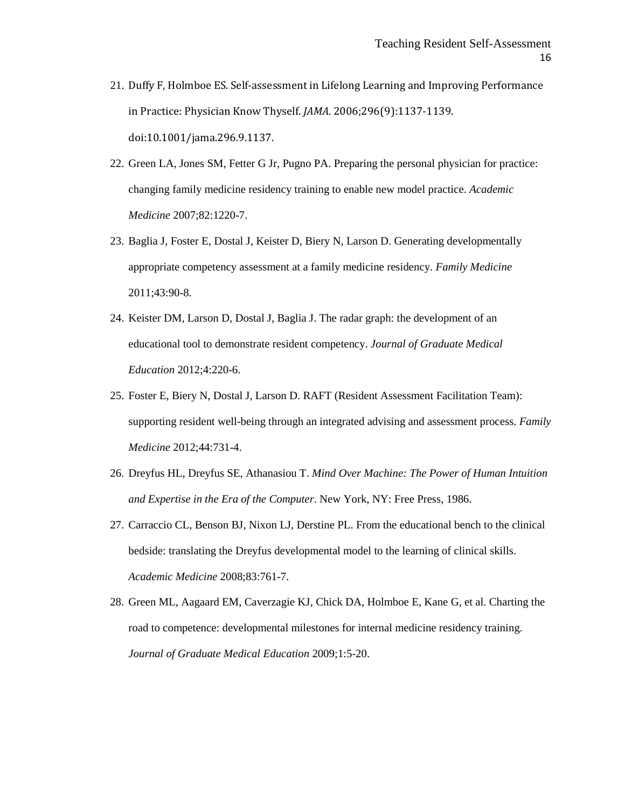- 21. Duffy F, Holmboe ES. Self-assessment in Lifelong Learning and Improving Performance in Practice: Physician Know Thyself. *JAMA.* 2006;296(9):1137-1139. doi:10.1001/jama.296.9.1137.
- 22. Green LA, Jones SM, Fetter G Jr, Pugno PA. Preparing the personal physician for practice: changing family medicine residency training to enable new model practice. *Academic Medicine* 2007;82:1220-7.
- 23. Baglia J, Foster E, Dostal J, Keister D, Biery N, Larson D. Generating developmentally appropriate competency assessment at a family medicine residency. *Family Medicine*  2011;43:90-8.
- 24. Keister DM, Larson D, Dostal J, Baglia J. The radar graph: the development of an educational tool to demonstrate resident competency. *Journal of Graduate Medical Education* 2012;4:220-6.
- 25. Foster E, Biery N, Dostal J, Larson D. RAFT (Resident Assessment Facilitation Team): supporting resident well-being through an integrated advising and assessment process. *Family Medicine* 2012;44:731-4.
- 26. Dreyfus HL, Dreyfus SE, Athanasiou T. *Mind Over Machine: The Power of Human Intuition and Expertise in the Era of the Computer*. New York, NY: Free Press, 1986.
- 27. Carraccio CL, Benson BJ, Nixon LJ, Derstine PL. From the educational bench to the clinical bedside: translating the Dreyfus developmental model to the learning of clinical skills. *Academic Medicine* 2008;83:761-7.
- 28. Green ML, Aagaard EM, Caverzagie KJ, Chick DA, Holmboe E, Kane G, et al. Charting the road to competence: developmental milestones for internal medicine residency training. *Journal of Graduate Medical Education* 2009;1:5-20.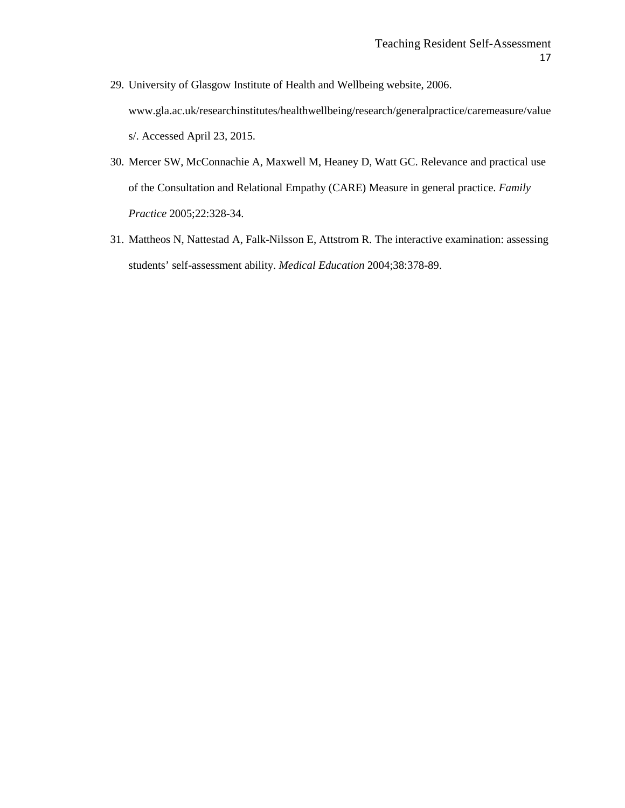- 29. University of Glasgow Institute of Health and Wellbeing website, 2006. www.gla.ac.uk/researchinstitutes/healthwellbeing/research/generalpractice/caremeasure/value s/. Accessed April 23, 2015.
- 30. Mercer SW, McConnachie A, Maxwell M, Heaney D, Watt GC. Relevance and practical use of the Consultation and Relational Empathy (CARE) Measure in general practice. *Family Practice* 2005;22:328-34.
- 31. Mattheos N, Nattestad A, Falk-Nilsson E, Attstrom R. The interactive examination: assessing students' self-assessment ability. *Medical Education* 2004;38:378-89.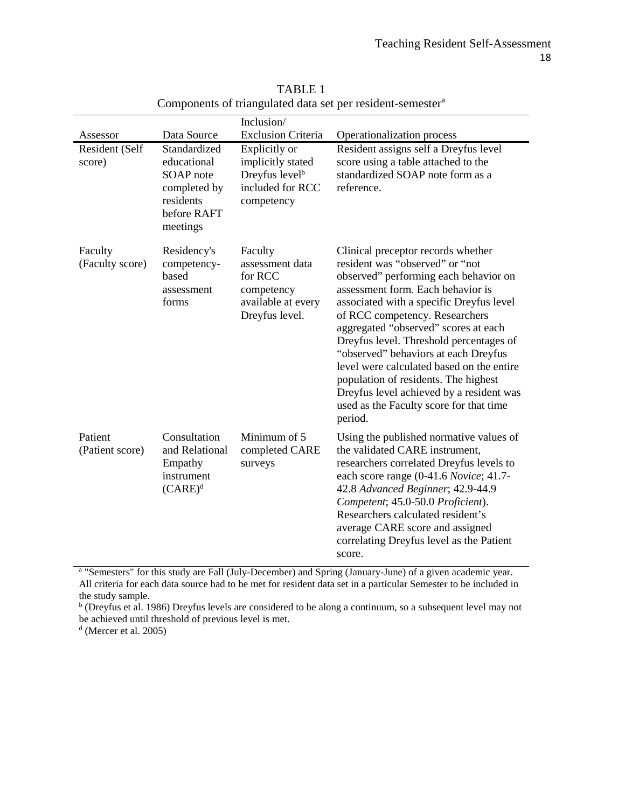|                            |                                                                                                  | Inclusion/                                                                                         |                                                                                                                                                                                                                                                                                                                                                                                                                                                                                                                                                     |
|----------------------------|--------------------------------------------------------------------------------------------------|----------------------------------------------------------------------------------------------------|-----------------------------------------------------------------------------------------------------------------------------------------------------------------------------------------------------------------------------------------------------------------------------------------------------------------------------------------------------------------------------------------------------------------------------------------------------------------------------------------------------------------------------------------------------|
| Assessor                   | Data Source                                                                                      | <b>Exclusion Criteria</b>                                                                          | Operationalization process                                                                                                                                                                                                                                                                                                                                                                                                                                                                                                                          |
| Resident (Self<br>score)   | Standardized<br>educational<br>SOAP note<br>completed by<br>residents<br>before RAFT<br>meetings | Explicitly or<br>implicitly stated<br>Dreyfus level <sup>b</sup><br>included for RCC<br>competency | Resident assigns self a Dreyfus level<br>score using a table attached to the<br>standardized SOAP note form as a<br>reference.                                                                                                                                                                                                                                                                                                                                                                                                                      |
| Faculty<br>(Faculty score) | Residency's<br>competency-<br>based<br>assessment<br>forms                                       | Faculty<br>assessment data<br>for RCC<br>competency<br>available at every<br>Dreyfus level.        | Clinical preceptor records whether<br>resident was "observed" or "not<br>observed" performing each behavior on<br>assessment form. Each behavior is<br>associated with a specific Dreyfus level<br>of RCC competency. Researchers<br>aggregated "observed" scores at each<br>Dreyfus level. Threshold percentages of<br>"observed" behaviors at each Dreyfus<br>level were calculated based on the entire<br>population of residents. The highest<br>Dreyfus level achieved by a resident was<br>used as the Faculty score for that time<br>period. |
| Patient<br>(Patient score) | Consultation<br>and Relational<br>Empathy<br>instrument<br>$(CARE)^d$                            | Minimum of 5<br>completed CARE<br>surveys                                                          | Using the published normative values of<br>the validated CARE instrument,<br>researchers correlated Dreyfus levels to<br>each score range (0-41.6 Novice; 41.7-<br>42.8 Advanced Beginner; 42.9-44.9<br>Competent; 45.0-50.0 Proficient).<br>Researchers calculated resident's<br>average CARE score and assigned<br>correlating Dreyfus level as the Patient<br>score.                                                                                                                                                                             |

TABLE 1 Components of triangulated data set per resident-semester<sup>a</sup>

<sup>a</sup> "Semesters" for this study are Fall (July-December) and Spring (January-June) of a given academic year. All criteria for each data source had to be met for resident data set in a particular Semester to be included in the study sample.

<sup>b</sup> (Dreyfus et al. 1986) Dreyfus levels are considered to be along a continuum, so a subsequent level may not be achieved until threshold of previous level is met.

<sup>d</sup> (Mercer et al. 2005)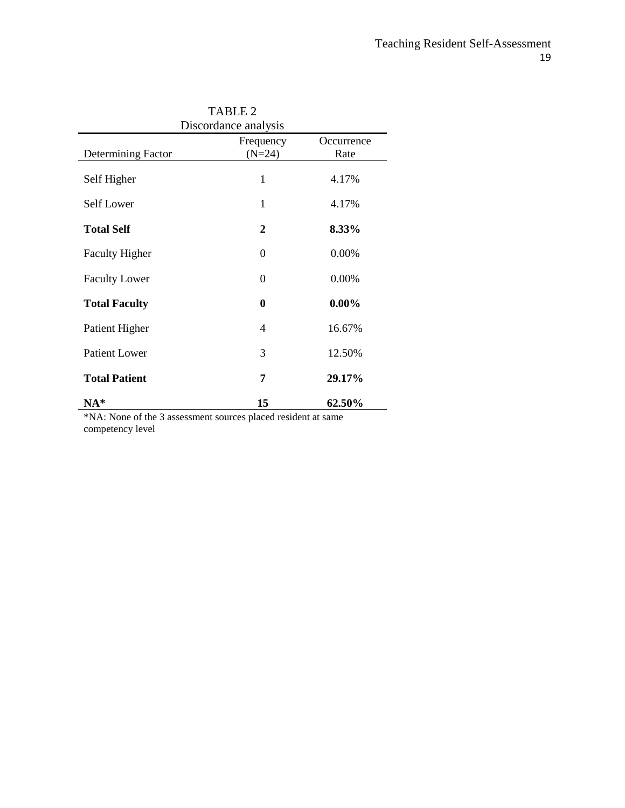| <b>TABLE 2</b><br>Discordance analysis |                       |                    |  |  |  |
|----------------------------------------|-----------------------|--------------------|--|--|--|
| Determining Factor                     | Frequency<br>$(N=24)$ | Occurrence<br>Rate |  |  |  |
| Self Higher                            | 1                     | 4.17%              |  |  |  |
| Self Lower                             | 1                     | 4.17%              |  |  |  |
| <b>Total Self</b>                      | 2                     | 8.33%              |  |  |  |
| <b>Faculty Higher</b>                  | $\theta$              | 0.00%              |  |  |  |
| <b>Faculty Lower</b>                   | 0                     | 0.00%              |  |  |  |
| <b>Total Faculty</b>                   | $\bf{0}$              | $0.00\%$           |  |  |  |
| Patient Higher                         | 4                     | 16.67%             |  |  |  |
| <b>Patient Lower</b>                   | 3                     | 12.50%             |  |  |  |
| <b>Total Patient</b>                   | 7                     | 29.17%             |  |  |  |
| $NA*$                                  | 15                    | 62.50%             |  |  |  |

\*NA: None of the 3 assessment sources placed resident at same competency level